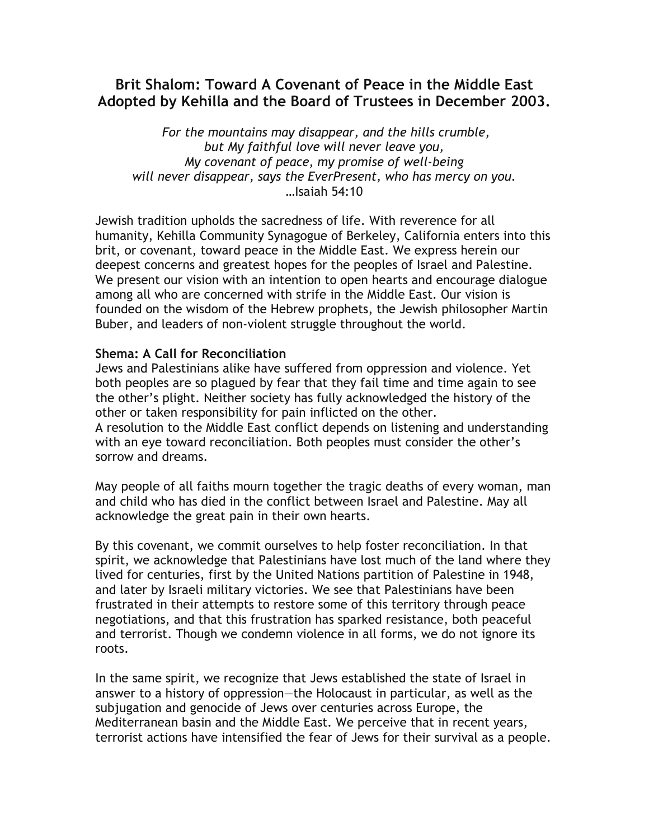## Brit Shalom: Toward A Covenant of Peace in the Middle East Adopted by Kehilla and the Board of Trustees in December 2003.

For the mountains may disappear, and the hills crumble, but My faithful love will never leave you, My covenant of peace, my promise of well-being will never disappear, says the EverPresent, who has mercy on you. …Isaiah 54:10

Jewish tradition upholds the sacredness of life. With reverence for all humanity, Kehilla Community Synagogue of Berkeley, California enters into this brit, or covenant, toward peace in the Middle East. We express herein our deepest concerns and greatest hopes for the peoples of Israel and Palestine. We present our vision with an intention to open hearts and encourage dialogue among all who are concerned with strife in the Middle East. Our vision is founded on the wisdom of the Hebrew prophets, the Jewish philosopher Martin Buber, and leaders of non-violent struggle throughout the world.

## Shema: A Call for Reconciliation

Jews and Palestinians alike have suffered from oppression and violence. Yet both peoples are so plagued by fear that they fail time and time again to see the other's plight. Neither society has fully acknowledged the history of the other or taken responsibility for pain inflicted on the other. A resolution to the Middle East conflict depends on listening and understanding with an eye toward reconciliation. Both peoples must consider the other's sorrow and dreams.

May people of all faiths mourn together the tragic deaths of every woman, man and child who has died in the conflict between Israel and Palestine. May all acknowledge the great pain in their own hearts.

By this covenant, we commit ourselves to help foster reconciliation. In that spirit, we acknowledge that Palestinians have lost much of the land where they lived for centuries, first by the United Nations partition of Palestine in 1948, and later by Israeli military victories. We see that Palestinians have been frustrated in their attempts to restore some of this territory through peace negotiations, and that this frustration has sparked resistance, both peaceful and terrorist. Though we condemn violence in all forms, we do not ignore its roots.

In the same spirit, we recognize that Jews established the state of Israel in answer to a history of oppression—the Holocaust in particular, as well as the subjugation and genocide of Jews over centuries across Europe, the Mediterranean basin and the Middle East. We perceive that in recent years, terrorist actions have intensified the fear of Jews for their survival as a people.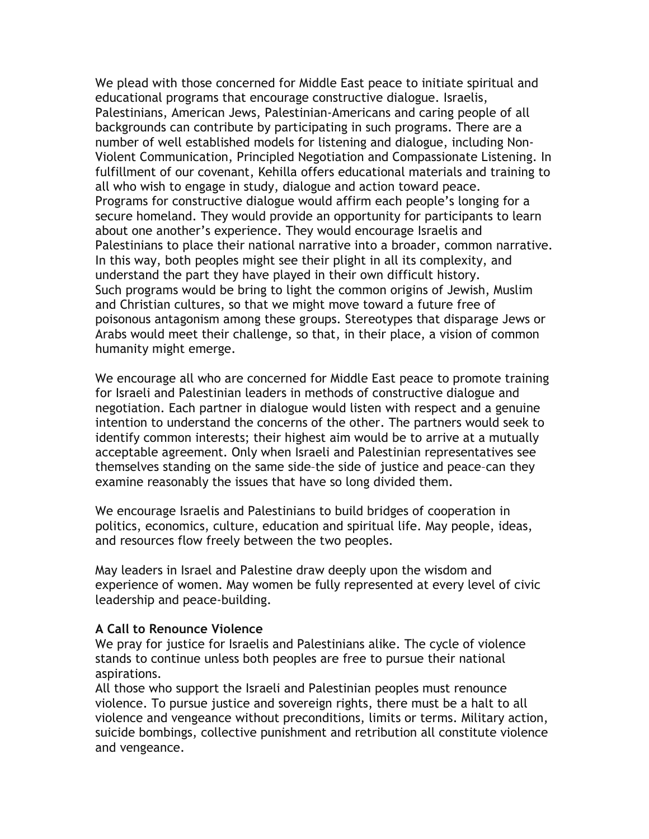We plead with those concerned for Middle East peace to initiate spiritual and educational programs that encourage constructive dialogue. Israelis, Palestinians, American Jews, Palestinian-Americans and caring people of all backgrounds can contribute by participating in such programs. There are a number of well established models for listening and dialogue, including Non-Violent Communication, Principled Negotiation and Compassionate Listening. In fulfillment of our covenant, Kehilla offers educational materials and training to all who wish to engage in study, dialogue and action toward peace. Programs for constructive dialogue would affirm each people's longing for a secure homeland. They would provide an opportunity for participants to learn about one another's experience. They would encourage Israelis and Palestinians to place their national narrative into a broader, common narrative. In this way, both peoples might see their plight in all its complexity, and understand the part they have played in their own difficult history. Such programs would be bring to light the common origins of Jewish, Muslim and Christian cultures, so that we might move toward a future free of poisonous antagonism among these groups. Stereotypes that disparage Jews or Arabs would meet their challenge, so that, in their place, a vision of common humanity might emerge.

We encourage all who are concerned for Middle East peace to promote training for Israeli and Palestinian leaders in methods of constructive dialogue and negotiation. Each partner in dialogue would listen with respect and a genuine intention to understand the concerns of the other. The partners would seek to identify common interests; their highest aim would be to arrive at a mutually acceptable agreement. Only when Israeli and Palestinian representatives see themselves standing on the same side–the side of justice and peace–can they examine reasonably the issues that have so long divided them.

We encourage Israelis and Palestinians to build bridges of cooperation in politics, economics, culture, education and spiritual life. May people, ideas, and resources flow freely between the two peoples.

May leaders in Israel and Palestine draw deeply upon the wisdom and experience of women. May women be fully represented at every level of civic leadership and peace-building.

## A Call to Renounce Violence

We pray for justice for Israelis and Palestinians alike. The cycle of violence stands to continue unless both peoples are free to pursue their national aspirations.

All those who support the Israeli and Palestinian peoples must renounce violence. To pursue justice and sovereign rights, there must be a halt to all violence and vengeance without preconditions, limits or terms. Military action, suicide bombings, collective punishment and retribution all constitute violence and vengeance.